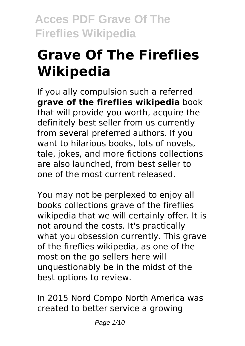# **Grave Of The Fireflies Wikipedia**

If you ally compulsion such a referred **grave of the fireflies wikipedia** book that will provide you worth, acquire the definitely best seller from us currently from several preferred authors. If you want to hilarious books, lots of novels, tale, jokes, and more fictions collections are also launched, from best seller to one of the most current released.

You may not be perplexed to enjoy all books collections grave of the fireflies wikipedia that we will certainly offer. It is not around the costs. It's practically what you obsession currently. This grave of the fireflies wikipedia, as one of the most on the go sellers here will unquestionably be in the midst of the best options to review.

In 2015 Nord Compo North America was created to better service a growing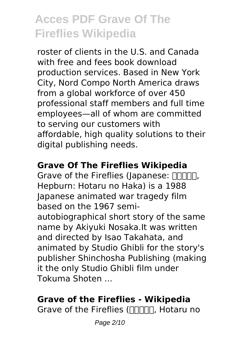roster of clients in the U.S. and Canada with free and fees book download production services. Based in New York City, Nord Compo North America draws from a global workforce of over 450 professional staff members and full time employees—all of whom are committed to serving our customers with affordable, high quality solutions to their digital publishing needs.

### **Grave Of The Fireflies Wikipedia**

Grave of the Fireflies (Japanese:  $\Box\Box\Box\Box$ Hepburn: Hotaru no Haka) is a 1988 Japanese animated war tragedy film based on the 1967 semiautobiographical short story of the same name by Akiyuki Nosaka.It was written and directed by Isao Takahata, and animated by Studio Ghibli for the story's publisher Shinchosha Publishing (making it the only Studio Ghibli film under Tokuma Shoten ...

### **Grave of the Fireflies - Wikipedia**

Grave of the Fireflies (חחחחת, Hotaru no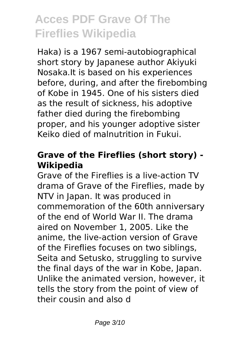Haka) is a 1967 semi-autobiographical short story by Japanese author Akiyuki Nosaka.It is based on his experiences before, during, and after the firebombing of Kobe in 1945. One of his sisters died as the result of sickness, his adoptive father died during the firebombing proper, and his younger adoptive sister Keiko died of malnutrition in Fukui.

### **Grave of the Fireflies (short story) - Wikipedia**

Grave of the Fireflies is a live-action TV drama of Grave of the Fireflies, made by NTV in Japan. It was produced in commemoration of the 60th anniversary of the end of World War II. The drama aired on November 1, 2005. Like the anime, the live-action version of Grave of the Fireflies focuses on two siblings, Seita and Setusko, struggling to survive the final days of the war in Kobe, Japan. Unlike the animated version, however, it tells the story from the point of view of their cousin and also d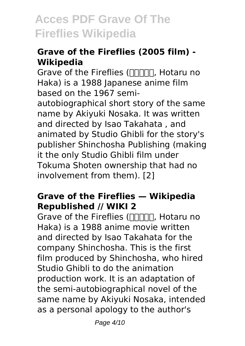### **Grave of the Fireflies (2005 film) - Wikipedia**

Grave of the Fireflies (火垂るの墓, Hotaru no Haka) is a 1988 Japanese anime film based on the 1967 semiautobiographical short story of the same name by Akiyuki Nosaka. It was written and directed by Isao Takahata , and animated by Studio Ghibli for the story's publisher Shinchosha Publishing (making it the only Studio Ghibli film under Tokuma Shoten ownership that had no involvement from them). [2]

#### **Grave of the Fireflies — Wikipedia Republished // WIKI 2**

Grave of the Fireflies (חחחחת, Hotaru no Haka) is a 1988 anime movie written and directed by Isao Takahata for the company Shinchosha. This is the first film produced by Shinchosha, who hired Studio Ghibli to do the animation production work. It is an adaptation of the semi-autobiographical novel of the same name by Akiyuki Nosaka, intended as a personal apology to the author's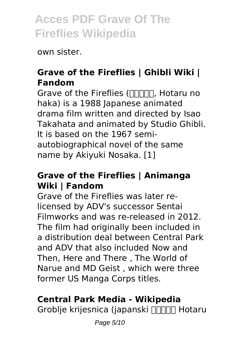own sister.

#### **Grave of the Fireflies | Ghibli Wiki | Fandom**

Grave of the Fireflies (火垂るの墓, Hotaru no haka) is a 1988 Japanese animated drama film written and directed by Isao Takahata and animated by Studio Ghibli. It is based on the 1967 semiautobiographical novel of the same name by Akiyuki Nosaka. [1]

#### **Grave of the Fireflies | Animanga Wiki | Fandom**

Grave of the Fireflies was later relicensed by ADV's successor Sentai Filmworks and was re-released in 2012. The film had originally been included in a distribution deal between Central Park and ADV that also included Now and Then, Here and There , The World of Narue and MD Geist , which were three former US Manga Corps titles.

### **Central Park Media - Wikipedia**

Groblje krijesnica (japanski חחחח Hotaru

Page 5/10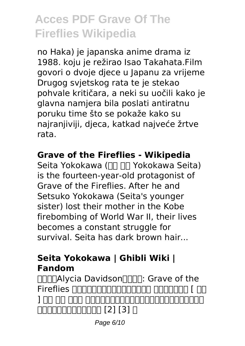no Haka) je japanska anime drama iz 1988. koju je režirao Isao Takahata.Film govori o dvoje djece u Japanu za vrijeme Drugog svjetskog rata te je stekao pohvale kritičara, a neki su uočili kako je glavna namjera bila poslati antiratnu poruku time što se pokaže kako su najranjiviji, djeca, katkad najveće žrtve rata.

### **Grave of the Fireflies - Wikipedia**

Seita Yokokawa ( $\Pi$   $\Pi$  Yokokawa Seita) is the fourteen-year-old protagonist of Grave of the Fireflies. After he and Setsuko Yokokawa (Seita's younger sister) lost their mother in the Kobe firebombing of World War II, their lives becomes a constant struggle for survival. Seita has dark brown hair...

#### **Seita Yokokawa | Ghibli Wiki | Fandom**

**MMMAlycia Davidson** Fireflies )をはじめ、各国で行われている。 作品構成・文体 [ 編集 ] NA NA NAN ANDANANANANANANANANANAN <u>aaaaaaaaaaaa [2] [31 n</u>

Page 6/10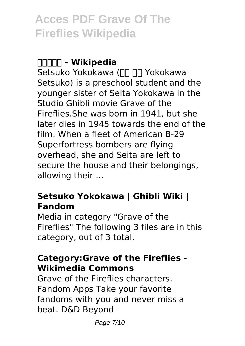#### **火垂るの墓 - Wikipedia**

Setsuko Yokokawa (□□ □□ Yokokawa Setsuko) is a preschool student and the younger sister of Seita Yokokawa in the Studio Ghibli movie Grave of the Fireflies.She was born in 1941, but she later dies in 1945 towards the end of the film. When a fleet of American B-29 Superfortress bombers are flying overhead, she and Seita are left to secure the house and their belongings, allowing their ...

### **Setsuko Yokokawa | Ghibli Wiki | Fandom**

Media in category "Grave of the Fireflies" The following 3 files are in this category, out of 3 total.

#### **Category:Grave of the Fireflies - Wikimedia Commons**

Grave of the Fireflies characters. Fandom Apps Take your favorite fandoms with you and never miss a beat. D&D Beyond

Page 7/10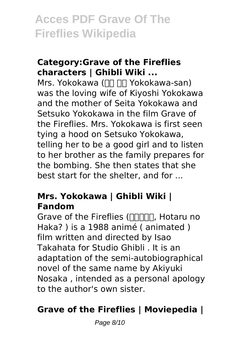#### **Category:Grave of the Fireflies characters | Ghibli Wiki ...**

Mrs. Yokokawa ( $\Pi$   $\Pi$  Yokokawa-san) was the loving wife of Kiyoshi Yokokawa and the mother of Seita Yokokawa and Setsuko Yokokawa in the film Grave of the Fireflies. Mrs. Yokokawa is first seen tying a hood on Setsuko Yokokawa, telling her to be a good girl and to listen to her brother as the family prepares for the bombing. She then states that she best start for the shelter, and for ...

#### **Mrs. Yokokawa | Ghibli Wiki | Fandom**

Grave of the Fireflies (חחחחת, Hotaru no Haka? ) is a 1988 animé ( animated ) film written and directed by Isao Takahata for Studio Ghibli . It is an adaptation of the semi-autobiographical novel of the same name by Akiyuki Nosaka , intended as a personal apology to the author's own sister.

### **Grave of the Fireflies | Moviepedia |**

Page 8/10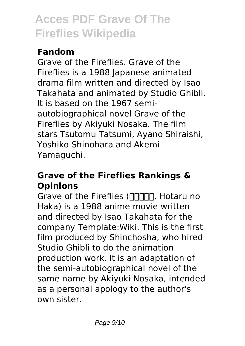### **Fandom**

Grave of the Fireflies. Grave of the Fireflies is a 1988 Japanese animated drama film written and directed by Isao Takahata and animated by Studio Ghibli. It is based on the 1967 semiautobiographical novel Grave of the Fireflies by Akiyuki Nosaka. The film stars Tsutomu Tatsumi, Ayano Shiraishi, Yoshiko Shinohara and Akemi Yamaguchi.

#### **Grave of the Fireflies Rankings & Opinions**

Grave of the Fireflies ( $\Pi$  $\Pi$  $\Pi$  $\Pi$ , Hotaru no Haka) is a 1988 anime movie written and directed by Isao Takahata for the company Template:Wiki. This is the first film produced by Shinchosha, who hired Studio Ghibli to do the animation production work. It is an adaptation of the semi-autobiographical novel of the same name by Akiyuki Nosaka, intended as a personal apology to the author's own sister.